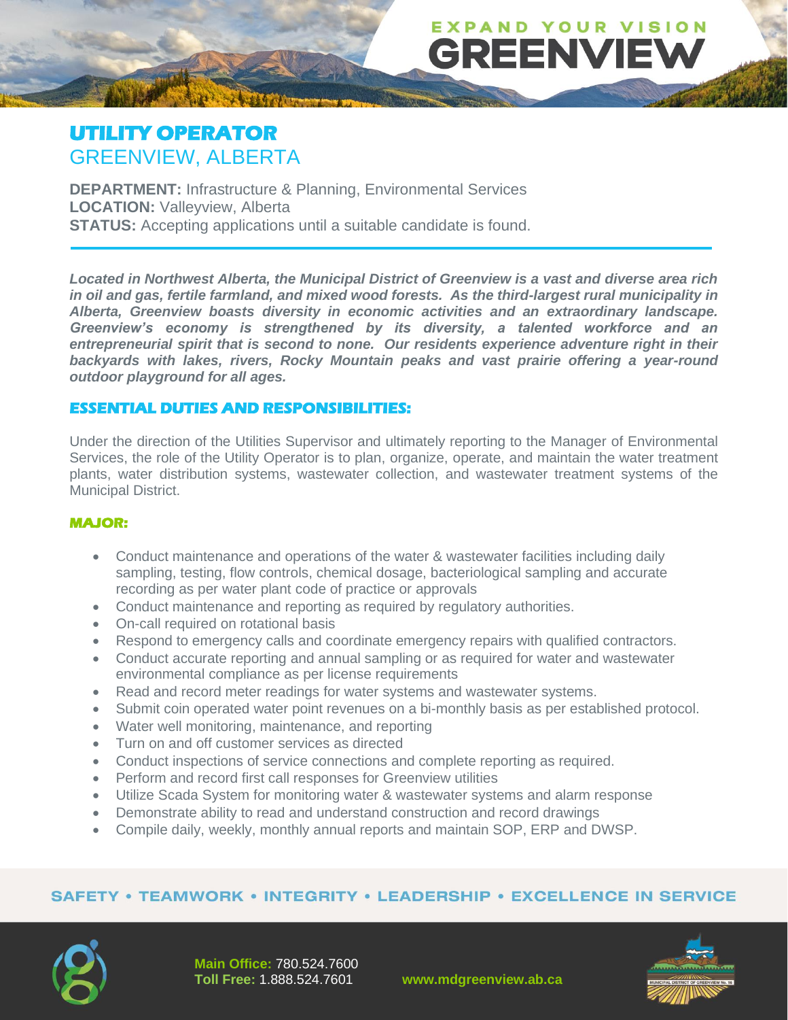# **UTILITY OPERATOR** GREENVIEW, ALBERTA

**DEPARTMENT:** Infrastructure & Planning, Environmental Services **LOCATION:** Valleyview, Alberta **STATUS:** Accepting applications until a suitable candidate is found.

*Located in Northwest Alberta, the Municipal District of Greenview is a vast and diverse area rich in oil and gas, fertile farmland, and mixed wood forests. As the third-largest rural municipality in Alberta, Greenview boasts diversity in economic activities and an extraordinary landscape. Greenview's economy is strengthened by its diversity, a talented workforce and an entrepreneurial spirit that is second to none. Our residents experience adventure right in their backyards with lakes, rivers, Rocky Mountain peaks and vast prairie offering a year-round outdoor playground for all ages.* 

**EXPAND YOUR VISION** 

**GREENVIEW** 

#### **ESSENTIAL DUTIES AND RESPONSIBILITIES:**

Under the direction of the Utilities Supervisor and ultimately reporting to the Manager of Environmental Services, the role of the Utility Operator is to plan, organize, operate, and maintain the water treatment plants, water distribution systems, wastewater collection, and wastewater treatment systems of the Municipal District.

#### **MAJOR:**

- Conduct maintenance and operations of the water & wastewater facilities including daily sampling, testing, flow controls, chemical dosage, bacteriological sampling and accurate recording as per water plant code of practice or approvals
- Conduct maintenance and reporting as required by regulatory authorities.
- On-call required on rotational basis
- Respond to emergency calls and coordinate emergency repairs with qualified contractors.
- Conduct accurate reporting and annual sampling or as required for water and wastewater environmental compliance as per license requirements
- Read and record meter readings for water systems and wastewater systems.
- Submit coin operated water point revenues on a bi-monthly basis as per established protocol.
- Water well monitoring, maintenance, and reporting
- Turn on and off customer services as directed
- Conduct inspections of service connections and complete reporting as required.
- Perform and record first call responses for Greenview utilities
- Utilize Scada System for monitoring water & wastewater systems and alarm response
- Demonstrate ability to read and understand construction and record drawings
- Compile daily, weekly, monthly annual reports and maintain SOP, ERP and DWSP.

#### **SAFETY • TEAMWORK • INTEGRITY • LEADERSHIP • EXCELLENCE IN SERVICE**





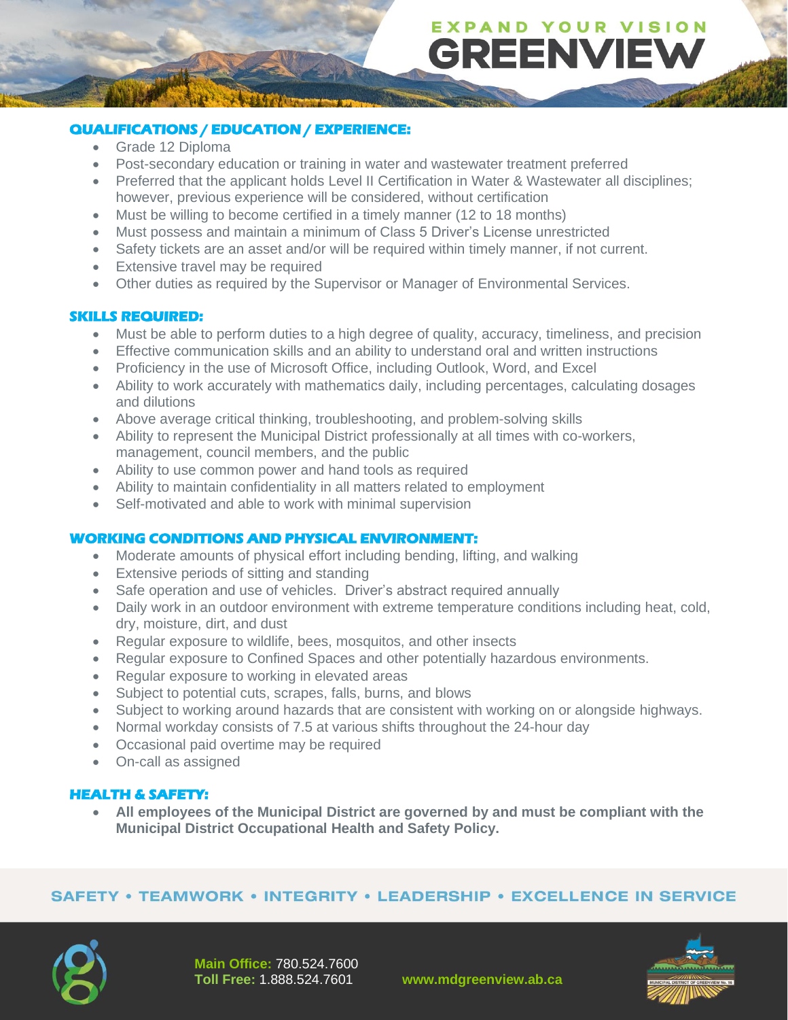# **EXPAND YOUR VISION GREENVIEW**

### **QUALIFICATIONS / EDUCATION / EXPERIENCE:**

- Grade 12 Diploma
- Post-secondary education or training in water and wastewater treatment preferred
- Preferred that the applicant holds Level II Certification in Water & Wastewater all disciplines; however, previous experience will be considered, without certification
- Must be willing to become certified in a timely manner (12 to 18 months)
- Must possess and maintain a minimum of Class 5 Driver's License unrestricted
- Safety tickets are an asset and/or will be required within timely manner, if not current.
- Extensive travel may be required
- Other duties as required by the Supervisor or Manager of Environmental Services.

#### **SKILLS REQUIRED:**

- Must be able to perform duties to a high degree of quality, accuracy, timeliness, and precision
- Effective communication skills and an ability to understand oral and written instructions
- Proficiency in the use of Microsoft Office, including Outlook, Word, and Excel
- Ability to work accurately with mathematics daily, including percentages, calculating dosages and dilutions
- Above average critical thinking, troubleshooting, and problem-solving skills
- Ability to represent the Municipal District professionally at all times with co-workers, management, council members, and the public
- Ability to use common power and hand tools as required
- Ability to maintain confidentiality in all matters related to employment
- Self-motivated and able to work with minimal supervision

#### **WORKING CONDITIONS AND PHYSICAL ENVIRONMENT:**

- Moderate amounts of physical effort including bending, lifting, and walking
- Extensive periods of sitting and standing
- Safe operation and use of vehicles. Driver's abstract required annually
- Daily work in an outdoor environment with extreme temperature conditions including heat, cold, dry, moisture, dirt, and dust
- Regular exposure to wildlife, bees, mosquitos, and other insects
- Regular exposure to Confined Spaces and other potentially hazardous environments.
- Regular exposure to working in elevated areas
- Subject to potential cuts, scrapes, falls, burns, and blows
- Subject to working around hazards that are consistent with working on or alongside highways.
- Normal workday consists of 7.5 at various shifts throughout the 24-hour day
- Occasional paid overtime may be required
- On-call as assigned

#### **HEALTH & SAFETY:**

• **All employees of the Municipal District are governed by and must be compliant with the Municipal District Occupational Health and Safety Policy.**

#### **SAFETY • TEAMWORK • INTEGRITY • LEADERSHIP • EXCELLENCE IN SERVICE**